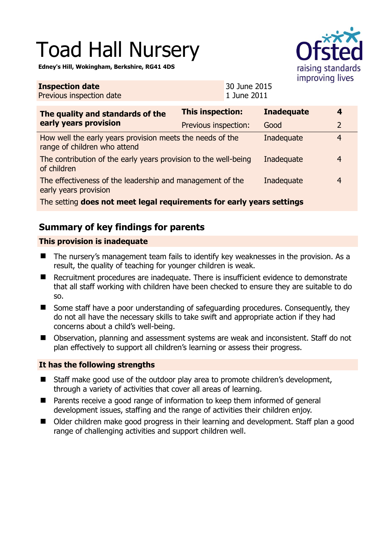# Toad Hall Nursery

**Edney's Hill, Wokingham, Berkshire, RG41 4DS** 

**Inspection date**

Previous inspection date



30 June 2015 1 June 2011

| The quality and standards of the<br>early years provision                                 | <b>This inspection:</b> | <b>Inadequate</b> | 4              |
|-------------------------------------------------------------------------------------------|-------------------------|-------------------|----------------|
|                                                                                           | Previous inspection:    | Good              | $\overline{2}$ |
| How well the early years provision meets the needs of the<br>range of children who attend |                         | Inadequate        | 4              |
| The contribution of the early years provision to the well-being<br>of children            |                         | Inadequate        | $\overline{4}$ |
| The effectiveness of the leadership and management of the<br>early years provision        |                         | Inadequate        | $\overline{4}$ |
| The setting does not meet legal requirements for early years settings                     |                         |                   |                |

## **Summary of key findings for parents**

#### **This provision is inadequate**

- The nursery's management team fails to identify key weaknesses in the provision. As a result, the quality of teaching for younger children is weak.
- Recruitment procedures are inadequate. There is insufficient evidence to demonstrate that all staff working with children have been checked to ensure they are suitable to do so.
- Some staff have a poor understanding of safeguarding procedures. Consequently, they do not all have the necessary skills to take swift and appropriate action if they had concerns about a child's well-being.
- Observation, planning and assessment systems are weak and inconsistent. Staff do not plan effectively to support all children's learning or assess their progress.

#### **It has the following strengths**

- Staff make good use of the outdoor play area to promote children's development, through a variety of activities that cover all areas of learning.
- Parents receive a good range of information to keep them informed of general development issues, staffing and the range of activities their children enjoy.
- Older children make good progress in their learning and development. Staff plan a good range of challenging activities and support children well.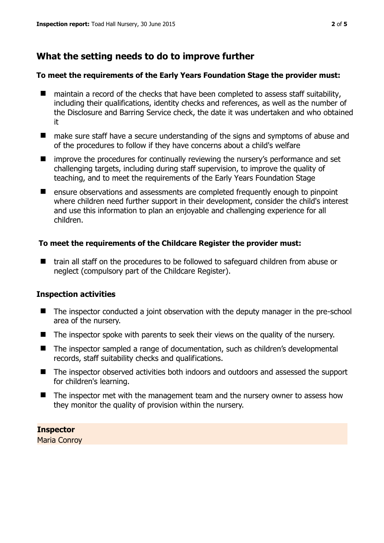## **What the setting needs to do to improve further**

#### **To meet the requirements of the Early Years Foundation Stage the provider must:**

- maintain a record of the checks that have been completed to assess staff suitability, including their qualifications, identity checks and references, as well as the number of the Disclosure and Barring Service check, the date it was undertaken and who obtained it
- make sure staff have a secure understanding of the signs and symptoms of abuse and of the procedures to follow if they have concerns about a child's welfare
- **I** improve the procedures for continually reviewing the nursery's performance and set challenging targets, including during staff supervision, to improve the quality of teaching, and to meet the requirements of the Early Years Foundation Stage
- **E** ensure observations and assessments are completed frequently enough to pinpoint where children need further support in their development, consider the child's interest and use this information to plan an enjoyable and challenging experience for all children.

#### **To meet the requirements of the Childcare Register the provider must:**

■ train all staff on the procedures to be followed to safeguard children from abuse or neglect (compulsory part of the Childcare Register).

#### **Inspection activities**

- The inspector conducted a joint observation with the deputy manager in the pre-school area of the nursery.
- The inspector spoke with parents to seek their views on the quality of the nursery.
- The inspector sampled a range of documentation, such as children's developmental records, staff suitability checks and qualifications.
- The inspector observed activities both indoors and outdoors and assessed the support for children's learning.
- The inspector met with the management team and the nursery owner to assess how they monitor the quality of provision within the nursery.

### **Inspector**

Maria Conroy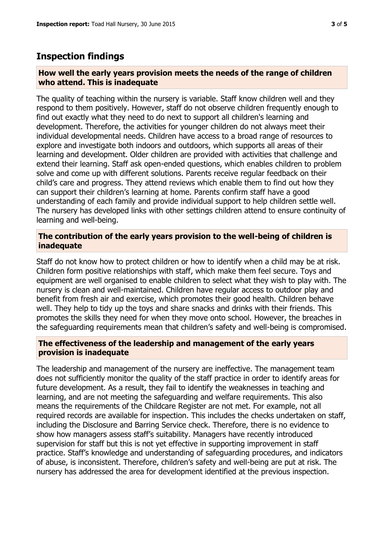#### **Inspection findings**

#### **How well the early years provision meets the needs of the range of children who attend. This is inadequate**

The quality of teaching within the nursery is variable. Staff know children well and they respond to them positively. However, staff do not observe children frequently enough to find out exactly what they need to do next to support all children's learning and development. Therefore, the activities for younger children do not always meet their individual developmental needs. Children have access to a broad range of resources to explore and investigate both indoors and outdoors, which supports all areas of their learning and development. Older children are provided with activities that challenge and extend their learning. Staff ask open-ended questions, which enables children to problem solve and come up with different solutions. Parents receive regular feedback on their child's care and progress. They attend reviews which enable them to find out how they can support their children's learning at home. Parents confirm staff have a good understanding of each family and provide individual support to help children settle well. The nursery has developed links with other settings children attend to ensure continuity of learning and well-being.

#### **The contribution of the early years provision to the well-being of children is inadequate**

Staff do not know how to protect children or how to identify when a child may be at risk. Children form positive relationships with staff, which make them feel secure. Toys and equipment are well organised to enable children to select what they wish to play with. The nursery is clean and well-maintained. Children have regular access to outdoor play and benefit from fresh air and exercise, which promotes their good health. Children behave well. They help to tidy up the toys and share snacks and drinks with their friends. This promotes the skills they need for when they move onto school. However, the breaches in the safeguarding requirements mean that children's safety and well-being is compromised.

#### **The effectiveness of the leadership and management of the early years provision is inadequate**

The leadership and management of the nursery are ineffective. The management team does not sufficiently monitor the quality of the staff practice in order to identify areas for future development. As a result, they fail to identify the weaknesses in teaching and learning, and are not meeting the safeguarding and welfare requirements. This also means the requirements of the Childcare Register are not met. For example, not all required records are available for inspection. This includes the checks undertaken on staff, including the Disclosure and Barring Service check. Therefore, there is no evidence to show how managers assess staff's suitability. Managers have recently introduced supervision for staff but this is not yet effective in supporting improvement in staff practice. Staff's knowledge and understanding of safeguarding procedures, and indicators of abuse, is inconsistent. Therefore, children's safety and well-being are put at risk. The nursery has addressed the area for development identified at the previous inspection.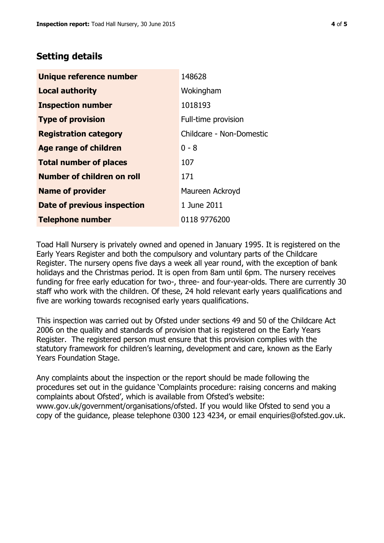## **Setting details**

| Unique reference number            | 148628                   |  |
|------------------------------------|--------------------------|--|
| <b>Local authority</b>             | Wokingham                |  |
| <b>Inspection number</b>           | 1018193                  |  |
| <b>Type of provision</b>           | Full-time provision      |  |
| <b>Registration category</b>       | Childcare - Non-Domestic |  |
| Age range of children              | $0 - 8$                  |  |
| <b>Total number of places</b>      | 107                      |  |
| Number of children on roll         | 171                      |  |
| <b>Name of provider</b>            | Maureen Ackroyd          |  |
| <b>Date of previous inspection</b> | 1 June 2011              |  |
| <b>Telephone number</b>            | 0118 9776200             |  |

Toad Hall Nursery is privately owned and opened in January 1995. It is registered on the Early Years Register and both the compulsory and voluntary parts of the Childcare Register. The nursery opens five days a week all year round, with the exception of bank holidays and the Christmas period. It is open from 8am until 6pm. The nursery receives funding for free early education for two-, three- and four-year-olds. There are currently 30 staff who work with the children. Of these, 24 hold relevant early years qualifications and five are working towards recognised early years qualifications.

This inspection was carried out by Ofsted under sections 49 and 50 of the Childcare Act 2006 on the quality and standards of provision that is registered on the Early Years Register. The registered person must ensure that this provision complies with the statutory framework for children's learning, development and care, known as the Early Years Foundation Stage.

Any complaints about the inspection or the report should be made following the procedures set out in the guidance 'Complaints procedure: raising concerns and making complaints about Ofsted', which is available from Ofsted's website: www.gov.uk/government/organisations/ofsted. If you would like Ofsted to send you a copy of the guidance, please telephone 0300 123 4234, or email enquiries@ofsted.gov.uk.